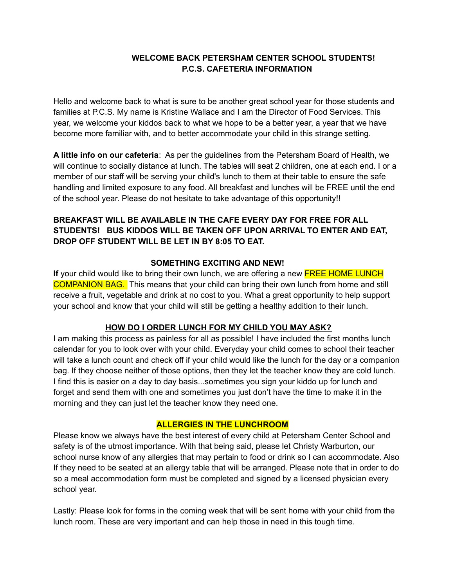# **WELCOME BACK PETERSHAM CENTER SCHOOL STUDENTS! P.C.S. CAFETERIA INFORMATION**

Hello and welcome back to what is sure to be another great school year for those students and families at P.C.S. My name is Kristine Wallace and I am the Director of Food Services. This year, we welcome your kiddos back to what we hope to be a better year, a year that we have become more familiar with, and to better accommodate your child in this strange setting.

**A little info on our cafeteria**: As per the guidelines from the Petersham Board of Health, we will continue to socially distance at lunch. The tables will seat 2 children, one at each end. I or a member of our staff will be serving your child's lunch to them at their table to ensure the safe handling and limited exposure to any food. All breakfast and lunches will be FREE until the end of the school year. Please do not hesitate to take advantage of this opportunity!!

# **BREAKFAST WILL BE AVAILABLE IN THE CAFE EVERY DAY FOR FREE FOR ALL STUDENTS! BUS KIDDOS WILL BE TAKEN OFF UPON ARRIVAL TO ENTER AND EAT, DROP OFF STUDENT WILL BE LET IN BY 8:05 TO EAT.**

### **SOMETHING EXCITING AND NEW!**

**If** your child would like to bring their own lunch, we are offering a new **FREE HOME LUNCH** COMPANION BAG. This means that your child can bring their own lunch from home and still receive a fruit, vegetable and drink at no cost to you. What a great opportunity to help support your school and know that your child will still be getting a healthy addition to their lunch.

### **HOW DO I ORDER LUNCH FOR MY CHILD YOU MAY ASK?**

I am making this process as painless for all as possible! I have included the first months lunch calendar for you to look over with your child. Everyday your child comes to school their teacher will take a lunch count and check off if your child would like the lunch for the day or a companion bag. If they choose neither of those options, then they let the teacher know they are cold lunch. I find this is easier on a day to day basis...sometimes you sign your kiddo up for lunch and forget and send them with one and sometimes you just don't have the time to make it in the morning and they can just let the teacher know they need one.

### **ALLERGIES IN THE LUNCHROOM**

Please know we always have the best interest of every child at Petersham Center School and safety is of the utmost importance. With that being said, please let Christy Warburton, our school nurse know of any allergies that may pertain to food or drink so I can accommodate. Also If they need to be seated at an allergy table that will be arranged. Please note that in order to do so a meal accommodation form must be completed and signed by a licensed physician every school year.

Lastly: Please look for forms in the coming week that will be sent home with your child from the lunch room. These are very important and can help those in need in this tough time.